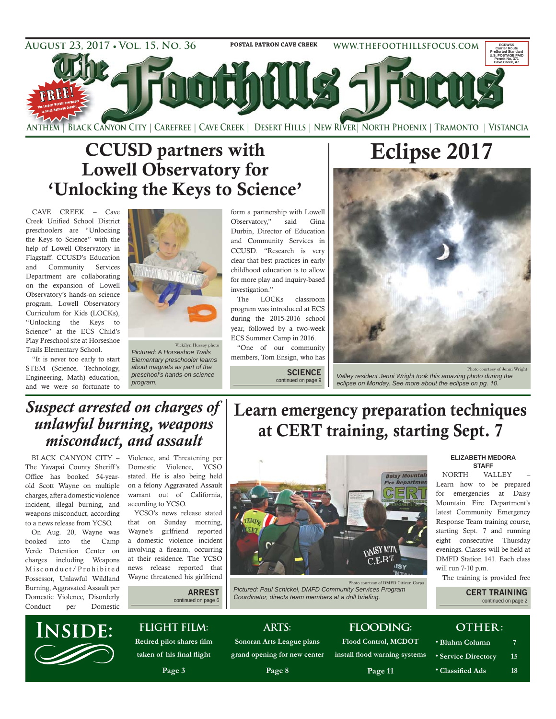

# CCUSD partners with Lowell Observatory for 'Unlocking the Keys to Science'

CAVE CREEK – Cave Creek Unified School District preschoolers are "Unlocking the Keys to Science" with the help of Lowell Observatory in Flagstaff. CCUSD's Education and Community Services Department are collaborating on the expansion of Lowell Observatory's hands-on science program, Lowell Observatory Curriculum for Kids (LOCKs), "Unlocking the Keys to Science" at the ECS Child's Play Preschool site at Horseshoe Trails Elementary School.

"It is never too early to start STEM (Science, Technology, Engineering, Math) education, and we were so fortunate to



Vickilyn Hussey photo *Pictured: A Horseshoe Trails Elementary preschooler learns about magnets as part of the preschool's hands-on science program* 

form a partnership with Lowell Observatory," said Gina Durbin, Director of Education and Community Services in CCUSD. "Research is very clear that best practices in early childhood education is to allow for more play and inquiry-based investigation."

The LOCKs classroom program was introduced at ECS during the 2015-2016 school year, followed by a two-week ECS Summer Camp in 2016.

"One of our community members, Tom Ensign, who has

> **SCIENCE**  continued on page 9



*Valley resident Jenni Wright took this amazing photo during the*  eclipse on Monday. See more about the eclipse on pg. 10.

### *Suspect arrested on charges of unlawful burning, weapons misconduct, and assault*

Office has booked 54-yearold Scott Wayne on multiple charges, after a domestic violence incident, illegal burning, and weapons misconduct, according to a news release from YCSO.

On Aug. 20, Wayne was booked into the Camp Verde Detention Center on charges including Weapons Misconduct/Prohibited Possessor, Unlawful Wildland Burning, Aggravated Assault per Domestic Violence, Disorderly Conduct per Domestic

BLACK CANYON CITY – Violence, and Threatening per The Yavapai County Sheriff's Domestic Violence, YCSO stated. He is also being held on a felony Aggravated Assault warrant out of California, according to YCSO.

YCSO's news release stated that on Sunday morning, Wayne's girlfriend reported a domestic violence incident involving a firearm, occurring at their residence. The YCSO news release reported that Wayne threatened his girlfriend

# Learn emergency preparation techniques at CERT training, starting Sept. 7



Photo courtesy of DMFD Citizen Corps *Pictured: Paul Schickel, DMFD Community Services Program*  Coordinator, directs team members at a drill briefing.

#### **ELIZABETH MEDORA STAFF**

Photo courtesy of Jenni Wright

NORTH VALLEY – Learn how to be prepared for emergencies at Daisy Mountain Fire Department's latest Community Emergency Response Team training course, starting Sept. 7 and running eight consecutive Thursday evenings. Classes will be held at DMFD Station 141. Each class will run 7-10 p.m.

The training is provided free

**CERT TRAINING**  continued on page 2

# **INSIDE:**

#### **FLIGHT FILM:** taken of his final flight

**ARREST**  continued on page 6

Page 3

#### **ARTS: Sonoran Arts League plans**

grand opening for new center Page 8

# **FLOODING: Flood Control, MCDOT**

install flood warning systems

**Page 11** 

**•** Bluhm Column 7 • Service Directory 15 **•** Classified Ads 18

**OTHER:**